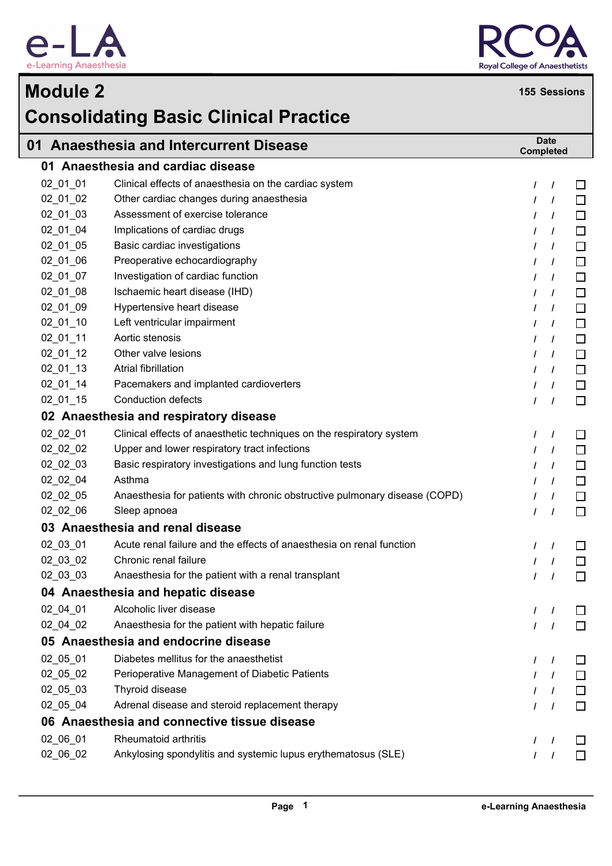



## **Module 2 <sup>155</sup> Sessions Consolidating Basic Clinical Practice 01 Anaesthesia and Intercurrent Disease Date Completed 01 Anaesthesia and cardiac disease** 02\_01\_01 Clinical effects of anaesthesia on the cardiac system **/ /**  $\Box$ 02 01 02 Other cardiac changes during anaesthesia */ / /* /  $\Box$ 02\_01\_03 Assessment of exercise tolerance **/ /**  $\Box$ 02 01 04 Implications of cardiac drugs */ /* /  $\Box$ 02 01 05 Basic cardiac investigations */ /* / П 02\_01\_06 Preoperative echocardiography **/ /**  $\Box$ 02 01 07 Investigation of cardiac function */ / /* /  $\Box$ 02\_01\_08 Ischaemic heart disease (IHD) **/ /**  $\Box$ 02 01 09 Hypertensive heart disease */ /* / П 02\_01\_10 Left ventricular impairment **/ /**  $\Box$ 02\_01\_11 Aortic stenosis **/ /**  $\Box$ 02\_01\_12 Other valve lesions **/ /**  $\Box$ 02\_01\_13 Atrial fibrillation **/ /**  $\Box$ 02 01 14 Pacemakers and implanted cardioverters */ /* /  $\Box$ 02\_01\_15 Conduction defects **/ /**  $\Box$ **02 Anaesthesia and respiratory disease** 02 02 01 Clinical effects of anaesthetic techniques on the respiratory system  $\frac{1}{1}$  $\Box$ 02\_02\_02 Upper and lower respiratory tract infections **/ /** П 02\_02\_03 Basic respiratory investigations and lung function tests **/ /**  $\Box$  $\Box$ 02\_02\_04 Asthma **/ /** 02\_02\_05 Anaesthesia for patients with chronic obstructive pulmonary disease (COPD) **/ /** П 02 02 06 Sleep apnoea */ / /* / П **03 Anaesthesia and renal disease** 02\_03\_01 Acute renal failure and the effects of anaesthesia on renal function **/ /**  $\Box$ 02\_03\_02 Chronic renal failure **/ /**  $\Box$ 02\_03\_03 Anaesthesia for the patient with a renal transplant **/ /**  $\Box$ **04 Anaesthesia and hepatic disease** 02\_04\_01 Alcoholic liver disease **/ /** П 02\_04\_02 Anaesthesia for the patient with hepatic failure **/ /**  $\Box$ **05 Anaesthesia and endocrine disease** 02 05 01 Diabetes mellitus for the anaesthetist */* / П 02\_05\_02 Perioperative Management of Diabetic Patients **/ /**  $\Box$ 02\_05\_03 Thyroid disease **/ /**  $\Box$ 02\_05\_04 Adrenal disease and steroid replacement therapy **/ /**  $\Box$ **06 Anaesthesia and connective tissue disease** 02\_06\_01 Rheumatoid arthritis **/ /**  $\Box$  $\Box$

02\_06\_02 Ankylosing spondylitis and systemic lupus erythematosus (SLE) **/ /**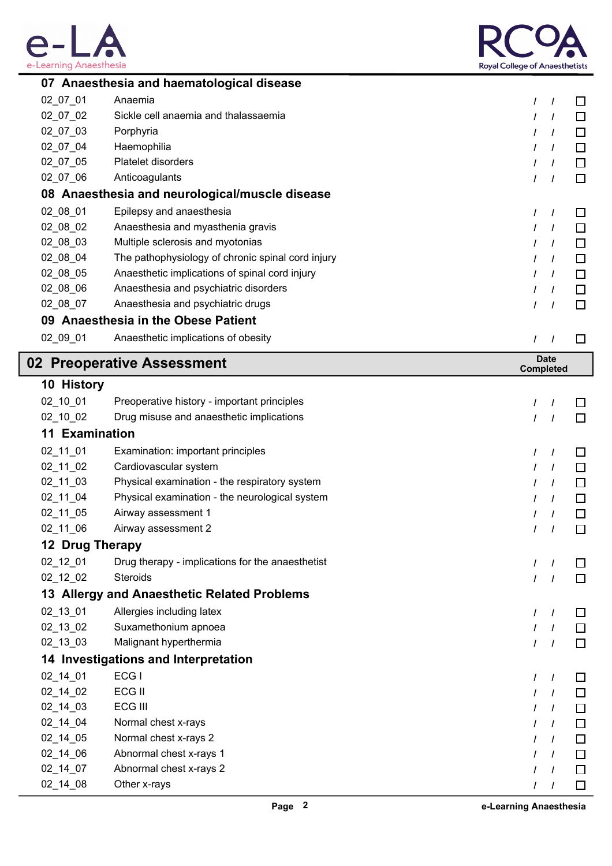



|                       | 07 Anaesthesia and haematological disease         |               |                  |        |
|-----------------------|---------------------------------------------------|---------------|------------------|--------|
| 02_07_01              | Anaemia                                           | I             | $\prime$         | ΙI     |
| 02_07_02              | Sickle cell anaemia and thalassaemia              |               | I                | □      |
| 02_07_03              | Porphyria                                         | ı             | $\prime$         | □      |
| 02_07_04              | Haemophilia                                       |               | $\prime$         | □      |
| 02_07_05              | Platelet disorders                                |               | $\prime$         | □      |
| 02_07_06              | Anticoagulants                                    | I             | $\prime$         | $\Box$ |
|                       | 08 Anaesthesia and neurological/muscle disease    |               |                  |        |
| 02_08_01              | Epilepsy and anaesthesia                          | $\prime$      | $\prime$         |        |
| 02_08_02              | Anaesthesia and myasthenia gravis                 |               | I                | □      |
| 02_08_03              | Multiple sclerosis and myotonias                  |               | $\prime$         | □      |
| 02_08_04              | The pathophysiology of chronic spinal cord injury |               | $\prime$         | □      |
| 02_08_05              | Anaesthetic implications of spinal cord injury    | ı             | $\prime$         | □      |
| 02_08_06              | Anaesthesia and psychiatric disorders             |               | I                | □      |
| 02_08_07              | Anaesthesia and psychiatric drugs                 | $\prime$      | $\prime$         | □      |
|                       | 09 Anaesthesia in the Obese Patient               |               |                  |        |
| 02_09_01              | Anaesthetic implications of obesity               | $\prime$      |                  | $\Box$ |
|                       | 02 Preoperative Assessment                        |               | <b>Date</b>      |        |
|                       |                                                   |               | <b>Completed</b> |        |
| 10 History            |                                                   |               |                  |        |
| 02_10_01              | Preoperative history - important principles       | $\prime$      |                  |        |
| 02_10_02              | Drug misuse and anaesthetic implications          | T             | $\prime$         |        |
| <b>11 Examination</b> |                                                   |               |                  |        |
| 02_11_01              | Examination: important principles                 | $\prime$      | $\prime$         |        |
| $02_11_02$            | Cardiovascular system                             | I             | I                | $\Box$ |
| 02_11_03              | Physical examination - the respiratory system     |               | I                |        |
| 02_11_04              | Physical examination - the neurological system    |               |                  |        |
| 02_11_05              | Airway assessment 1                               |               |                  |        |
| 02 11 06              | Airway assessment 2                               |               |                  |        |
| 12 Drug Therapy       |                                                   |               |                  |        |
| 02_12_01              | Drug therapy - implications for the anaesthetist  | $\prime$      | $\prime$         |        |
| 02_12_02              | Steroids                                          | $\prime$      | $\prime$         | $\Box$ |
|                       | 13 Allergy and Anaesthetic Related Problems       |               |                  |        |
| 02_13_01              | Allergies including latex                         | $\prime$      | $\prime$         | $\Box$ |
| $02_13_02$            | Suxamethonium apnoea                              |               | $\prime$         | $\Box$ |
| 02_13_03              | Malignant hyperthermia                            | $\prime$      | $\prime$         | $\Box$ |
|                       | 14 Investigations and Interpretation              |               |                  |        |
| 02_14_01              | ECG I                                             | $\prime$      | T                | $\Box$ |
| 02_14_02              | ECG II                                            | $\prime$      | $\prime$         | □      |
| $02_14_03$            | ECG III                                           | $\prime$      | $\prime$         | $\Box$ |
| $02_14_04$            | Normal chest x-rays                               | $\prime$      | $\prime$         | $\Box$ |
| 02_14_05              | Normal chest x-rays 2                             | $\prime$      | $\prime$         | $\Box$ |
| $02_14_06$            | Abnormal chest x-rays 1                           | $\prime$      | $\prime$         | $\Box$ |
| 02_14_07              | Abnormal chest x-rays 2                           | $\prime$      | $\prime$         | $\Box$ |
| 02_14_08              | Other x-rays                                      | $\mathcal{L}$ | $\overline{1}$   | $\Box$ |
|                       |                                                   |               |                  |        |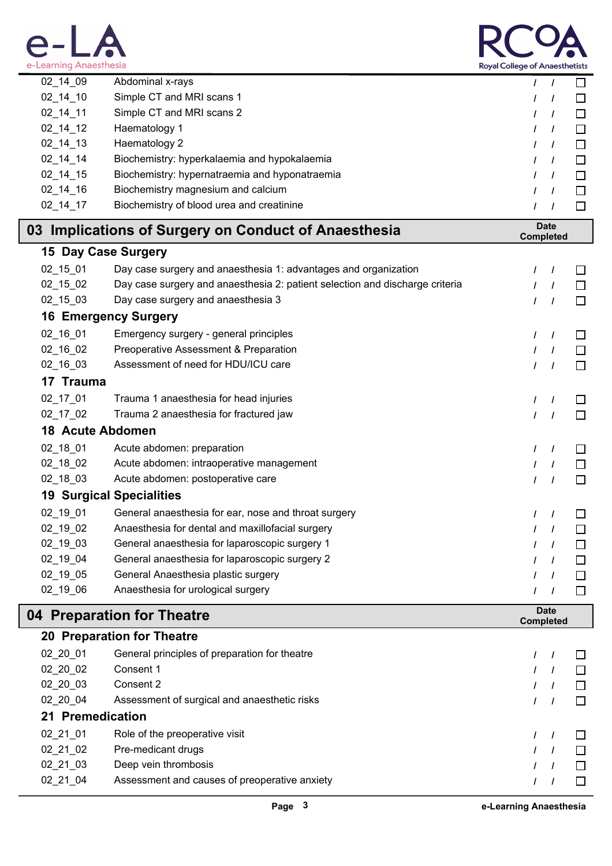



| e-Learning Anaesthesia     |                                                                              |          | <b>Royal College of Anaesthetists</b> |         |  |  |
|----------------------------|------------------------------------------------------------------------------|----------|---------------------------------------|---------|--|--|
| $02 - 14 - 09$             | Abdominal x-rays                                                             | $\prime$ | $\prime$                              | □       |  |  |
| $02 - 14 - 10$             | Simple CT and MRI scans 1                                                    | 7        |                                       | $\perp$ |  |  |
| $02_14_11$                 | Simple CT and MRI scans 2                                                    | I        | $\prime$                              | $\Box$  |  |  |
| $02_14_12$                 | Haematology 1                                                                | $\prime$ | $\prime$                              | □       |  |  |
| $02 - 14 - 13$             | Haematology 2                                                                | $\prime$ | $\prime$                              | $\Box$  |  |  |
| $02 - 14 - 14$             | Biochemistry: hyperkalaemia and hypokalaemia                                 | T        | $\prime$                              | □       |  |  |
| $02 - 14 - 15$             | Biochemistry: hypernatraemia and hyponatraemia                               | I        | $\prime$                              | $\Box$  |  |  |
| $02_14_16$                 | Biochemistry magnesium and calcium                                           | I        | $\prime$                              | □       |  |  |
| $02 - 14 - 17$             | Biochemistry of blood urea and creatinine                                    | $\prime$ | $\prime$                              | $\Box$  |  |  |
|                            | 03 Implications of Surgery on Conduct of Anaesthesia                         |          | <b>Date</b><br><b>Completed</b>       |         |  |  |
| 15 Day Case Surgery        |                                                                              |          |                                       |         |  |  |
| 02_15_01                   | Day case surgery and anaesthesia 1: advantages and organization              | $\prime$ | $\prime$                              | ΙI      |  |  |
| $02_15_02$                 | Day case surgery and anaesthesia 2: patient selection and discharge criteria | I        | $\prime$                              | □       |  |  |
| 02_15_03                   | Day case surgery and anaesthesia 3                                           | $\prime$ | $\prime$                              | □       |  |  |
|                            | <b>16 Emergency Surgery</b>                                                  |          |                                       |         |  |  |
| 02_16_01                   | Emergency surgery - general principles                                       | $\prime$ | $\prime$                              | U       |  |  |
| $02_16_02$                 | Preoperative Assessment & Preparation                                        | $\prime$ | $\prime$                              | $\Box$  |  |  |
| 02_16_03                   | Assessment of need for HDU/ICU care                                          | I        | $\prime$                              | □       |  |  |
| 17 Trauma                  |                                                                              |          |                                       |         |  |  |
| 02_17_01                   | Trauma 1 anaesthesia for head injuries                                       | I        | $\prime$                              |         |  |  |
| $02_17_02$                 | Trauma 2 anaesthesia for fractured jaw                                       | $\prime$ | $\prime$                              | $\Box$  |  |  |
| <b>18 Acute Abdomen</b>    |                                                                              |          |                                       |         |  |  |
| $02_18_01$                 | Acute abdomen: preparation                                                   | $\prime$ | $\prime$                              |         |  |  |
| $02_18_02$                 | Acute abdomen: intraoperative management                                     | I        | T                                     | $\Box$  |  |  |
| 02_18_03                   | Acute abdomen: postoperative care                                            | $\prime$ | $\prime$                              | □       |  |  |
|                            | <b>19 Surgical Specialities</b>                                              |          |                                       |         |  |  |
| 02_19_01                   | General anaesthesia for ear, nose and throat surgery                         | $\prime$ | $\prime$                              |         |  |  |
| 02_19_02                   | Anaesthesia for dental and maxillofacial surgery                             | I        | $\prime$                              |         |  |  |
| $02 - 19 - 03$             | General anaesthesia for laparoscopic surgery 1                               |          |                                       |         |  |  |
| 02_19_04                   | General anaesthesia for laparoscopic surgery 2                               |          |                                       | □       |  |  |
| 02_19_05                   | General Anaesthesia plastic surgery                                          |          | $\prime$                              | $\Box$  |  |  |
| 02_19_06                   | Anaesthesia for urological surgery                                           |          |                                       | □       |  |  |
| 04 Preparation for Theatre |                                                                              |          | <b>Date</b><br><b>Completed</b>       |         |  |  |
|                            | <b>20 Preparation for Theatre</b>                                            |          |                                       |         |  |  |

| 02 20 01         | General principles of preparation for theatre |  |  |
|------------------|-----------------------------------------------|--|--|
| 02 20 02         | Consent 1                                     |  |  |
| 02 20 03         | Consent 2                                     |  |  |
| 02 20 04         | Assessment of surgical and anaesthetic risks  |  |  |
| 21 Premedication |                                               |  |  |
| 02 21 01         | Role of the preoperative visit                |  |  |
| 02 21 02         | Pre-medicant drugs                            |  |  |
| 02 21 03         | Deep vein thrombosis                          |  |  |
| 02 21 04         | Assessment and causes of preoperative anxiety |  |  |
|                  |                                               |  |  |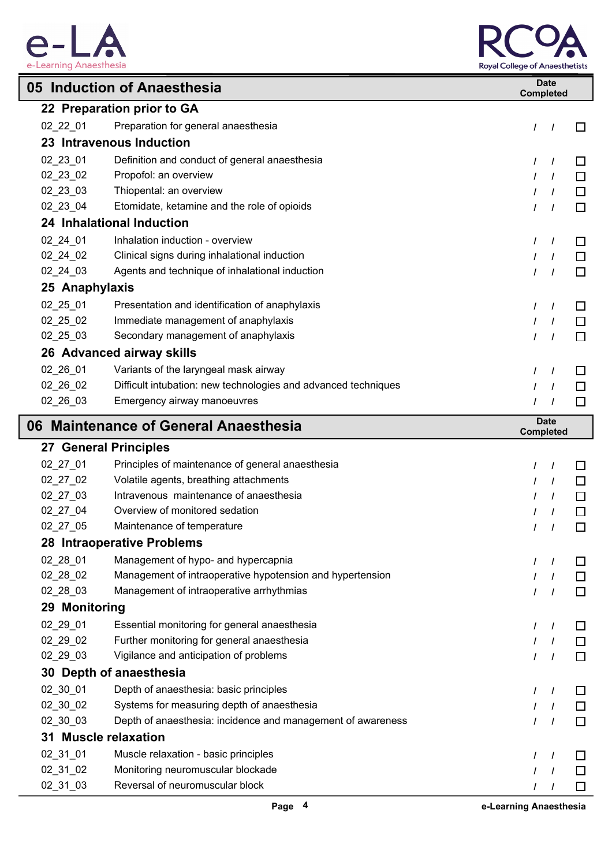



|                | 05 Induction of Anaesthesia                                    | <b>Date</b><br><b>Completed</b> |        |
|----------------|----------------------------------------------------------------|---------------------------------|--------|
|                | 22 Preparation prior to GA                                     |                                 |        |
| $02_22_01$     | Preparation for general anaesthesia                            | I<br>$\frac{1}{2}$              | □      |
|                | 23 Intravenous Induction                                       |                                 |        |
| 02_23_01       | Definition and conduct of general anaesthesia                  | $\prime$<br>$\prime$            | $\Box$ |
| 02_23_02       | Propofol: an overview                                          | $\overline{1}$                  | $\Box$ |
| 02_23_03       | Thiopental: an overview                                        | $\overline{1}$<br>I             | □      |
| 02_23_04       | Etomidate, ketamine and the role of opioids                    | $\prime$<br>$\overline{1}$      | $\Box$ |
|                | 24 Inhalational Induction                                      |                                 |        |
| 02_24_01       | Inhalation induction - overview                                | $\prime$<br>$\prime$            | □      |
| $02_24_02$     | Clinical signs during inhalational induction                   | I<br>$\overline{1}$             | $\Box$ |
| 02_24_03       | Agents and technique of inhalational induction                 | $\overline{1}$<br>I             | □      |
| 25 Anaphylaxis |                                                                |                                 |        |
| 02_25_01       | Presentation and identification of anaphylaxis                 | $\prime$<br>$\overline{1}$      | □      |
| $02_25_02$     | Immediate management of anaphylaxis                            | $\overline{1}$<br>I             | $\Box$ |
| $02\_25\_03$   | Secondary management of anaphylaxis                            | $\prime$<br>$\overline{1}$      | $\Box$ |
|                | 26 Advanced airway skills                                      |                                 |        |
| 02_26_01       | Variants of the laryngeal mask airway                          | $\prime$<br>$\overline{1}$      | $\Box$ |
| $02_26_02$     | Difficult intubation: new technologies and advanced techniques | $\prime$<br>$\overline{1}$      | $\Box$ |
| 02_26_03       | Emergency airway manoeuvres                                    | I<br>$\overline{1}$             | $\Box$ |
|                | 06 Maintenance of General Anaesthesia                          | <b>Date</b><br><b>Completed</b> |        |
|                | <b>27 General Principles</b>                                   |                                 |        |
| 02_27_01       | Principles of maintenance of general anaesthesia               | $\prime$<br>$\prime$            | ⊔      |
| $02_27_02$     | Volatile agents, breathing attachments                         | I<br>$\frac{1}{2}$              | □      |
| 02_27_03       | Intravenous maintenance of anaesthesia                         | I<br>$\frac{1}{2}$              | $\Box$ |
| 02_27_04       | Overview of monitored sedation                                 | $\overline{1}$<br>$\prime$      | $\Box$ |
| 02 27 05       | Maintenance of temperature                                     | $\frac{1}{2}$                   | $\Box$ |
|                | 28 Intraoperative Problems                                     |                                 |        |
| 02_28_01       | Management of hypo- and hypercapnia                            | $\prime$<br>$\overline{1}$      | $\Box$ |
| 02_28_02       | Management of intraoperative hypotension and hypertension      | $\prime$<br>$\overline{1}$      | $\Box$ |
| 02_28_03       | Management of intraoperative arrhythmias                       | T<br>$\overline{1}$             | $\Box$ |
| 29 Monitoring  |                                                                |                                 |        |
| 02_29_01       | Essential monitoring for general anaesthesia                   | $\prime$<br>$\overline{1}$      | ப      |
| 02_29_02       | Further monitoring for general anaesthesia                     | $\prime$<br>$\frac{1}{2}$       | $\Box$ |
| 02_29_03       | Vigilance and anticipation of problems                         | T<br>$\overline{1}$             | $\Box$ |
|                | 30 Depth of anaesthesia                                        |                                 |        |
| 02_30_01       | Depth of anaesthesia: basic principles                         | $\prime$<br>$\overline{1}$      | □      |
| 02_30_02       | Systems for measuring depth of anaesthesia                     | $\prime$<br>$\overline{1}$      | $\Box$ |
| 02_30_03       | Depth of anaesthesia: incidence and management of awareness    | $\prime$<br>$\overline{1}$      | □      |
|                | 31 Muscle relaxation                                           |                                 |        |
| 02_31_01       | Muscle relaxation - basic principles                           | $\prime$<br>$\overline{1}$      | □      |
| 02_31_02       | Monitoring neuromuscular blockade                              | $\prime$<br>$\overline{1}$      | $\Box$ |
| 02_31_03       | Reversal of neuromuscular block                                | $\prime$<br>$\prime$            | $\Box$ |